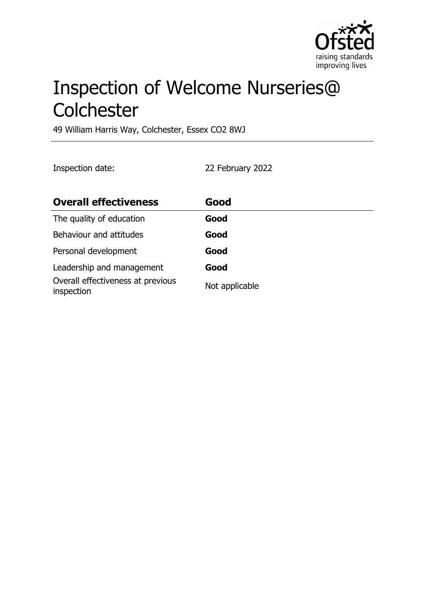

# Inspection of Welcome Nurseries@ **Colchester**

49 William Harris Way, Colchester, Essex CO2 8WJ

Inspection date: 22 February 2022

| <b>Overall effectiveness</b>                    | Good           |
|-------------------------------------------------|----------------|
| The quality of education                        | Good           |
| Behaviour and attitudes                         | Good           |
| Personal development                            | Good           |
| Leadership and management                       | Good           |
| Overall effectiveness at previous<br>inspection | Not applicable |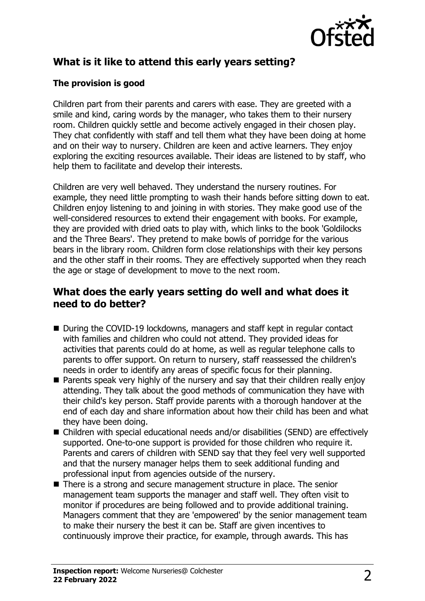

# **What is it like to attend this early years setting?**

#### **The provision is good**

Children part from their parents and carers with ease. They are greeted with a smile and kind, caring words by the manager, who takes them to their nursery room. Children quickly settle and become actively engaged in their chosen play. They chat confidently with staff and tell them what they have been doing at home and on their way to nursery. Children are keen and active learners. They enjoy exploring the exciting resources available. Their ideas are listened to by staff, who help them to facilitate and develop their interests.

Children are very well behaved. They understand the nursery routines. For example, they need little prompting to wash their hands before sitting down to eat. Children enjoy listening to and joining in with stories. They make good use of the well-considered resources to extend their engagement with books. For example, they are provided with dried oats to play with, which links to the book 'Goldilocks and the Three Bears'. They pretend to make bowls of porridge for the various bears in the library room. Children form close relationships with their key persons and the other staff in their rooms. They are effectively supported when they reach the age or stage of development to move to the next room.

### **What does the early years setting do well and what does it need to do better?**

- During the COVID-19 lockdowns, managers and staff kept in regular contact with families and children who could not attend. They provided ideas for activities that parents could do at home, as well as regular telephone calls to parents to offer support. On return to nursery, staff reassessed the children's needs in order to identify any areas of specific focus for their planning.
- $\blacksquare$  Parents speak very highly of the nursery and say that their children really enjoy attending. They talk about the good methods of communication they have with their child's key person. Staff provide parents with a thorough handover at the end of each day and share information about how their child has been and what they have been doing.
- $\blacksquare$  Children with special educational needs and/or disabilities (SEND) are effectively supported. One-to-one support is provided for those children who require it. Parents and carers of children with SEND say that they feel very well supported and that the nursery manager helps them to seek additional funding and professional input from agencies outside of the nursery.
- $\blacksquare$  There is a strong and secure management structure in place. The senior management team supports the manager and staff well. They often visit to monitor if procedures are being followed and to provide additional training. Managers comment that they are 'empowered' by the senior management team to make their nursery the best it can be. Staff are given incentives to continuously improve their practice, for example, through awards. This has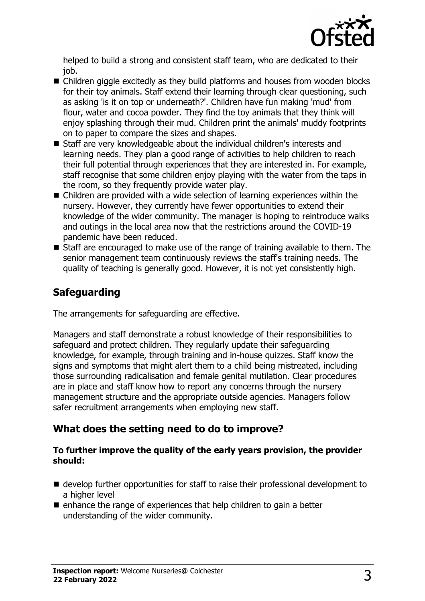

helped to build a strong and consistent staff team, who are dedicated to their job.

- $\blacksquare$  Children giggle excitedly as they build platforms and houses from wooden blocks for their toy animals. Staff extend their learning through clear questioning, such as asking 'is it on top or underneath?'. Children have fun making 'mud' from flour, water and cocoa powder. They find the toy animals that they think will enjoy splashing through their mud. Children print the animals' muddy footprints on to paper to compare the sizes and shapes.
- $\blacksquare$  Staff are very knowledgeable about the individual children's interests and learning needs. They plan a good range of activities to help children to reach their full potential through experiences that they are interested in. For example, staff recognise that some children enjoy playing with the water from the taps in the room, so they frequently provide water play.
- $\blacksquare$  Children are provided with a wide selection of learning experiences within the nursery. However, they currently have fewer opportunities to extend their knowledge of the wider community. The manager is hoping to reintroduce walks and outings in the local area now that the restrictions around the COVID-19 pandemic have been reduced.
- $\blacksquare$  Staff are encouraged to make use of the range of training available to them. The senior management team continuously reviews the staff's training needs. The quality of teaching is generally good. However, it is not yet consistently high.

### **Safeguarding**

The arrangements for safeguarding are effective.

Managers and staff demonstrate a robust knowledge of their responsibilities to safeguard and protect children. They regularly update their safeguarding knowledge, for example, through training and in-house quizzes. Staff know the signs and symptoms that might alert them to a child being mistreated, including those surrounding radicalisation and female genital mutilation. Clear procedures are in place and staff know how to report any concerns through the nursery management structure and the appropriate outside agencies. Managers follow safer recruitment arrangements when employing new staff.

### **What does the setting need to do to improve?**

#### **To further improve the quality of the early years provision, the provider should:**

- $\blacksquare$  develop further opportunities for staff to raise their professional development to a higher level
- $\blacksquare$  enhance the range of experiences that help children to gain a better understanding of the wider community.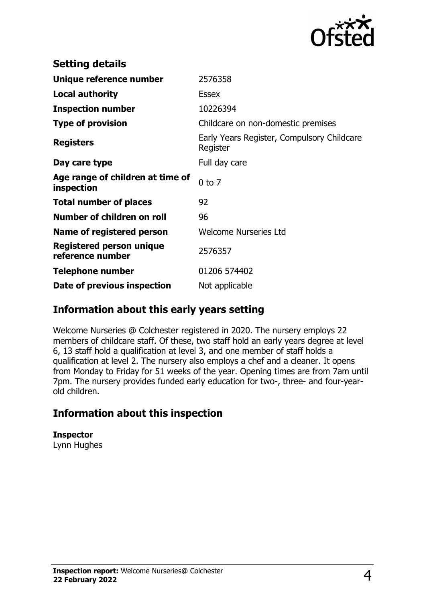

| <b>Setting details</b>                         |                                                        |
|------------------------------------------------|--------------------------------------------------------|
| Unique reference number                        | 2576358                                                |
| <b>Local authority</b>                         | <b>Essex</b>                                           |
| <b>Inspection number</b>                       | 10226394                                               |
| <b>Type of provision</b>                       | Childcare on non-domestic premises                     |
| <b>Registers</b>                               | Early Years Register, Compulsory Childcare<br>Register |
| Day care type                                  | Full day care                                          |
| Age range of children at time of<br>inspection | $0$ to $7$                                             |
| <b>Total number of places</b>                  | 92                                                     |
| Number of children on roll                     | 96                                                     |
| Name of registered person                      | <b>Welcome Nurseries Ltd</b>                           |
| Registered person unique<br>reference number   | 2576357                                                |
| <b>Telephone number</b>                        | 01206 574402                                           |
| Date of previous inspection                    | Not applicable                                         |

### **Information about this early years setting**

Welcome Nurseries @ Colchester registered in 2020. The nursery employs 22 members of childcare staff. Of these, two staff hold an early years degree at level 6, 13 staff hold a qualification at level 3, and one member of staff holds a qualification at level 2. The nursery also employs a chef and a cleaner. It opens from Monday to Friday for 51 weeks of the year. Opening times are from 7am until 7pm. The nursery provides funded early education for two-, three- and four-yearold children.

## **Information about this inspection**

**Inspector** Lynn Hughes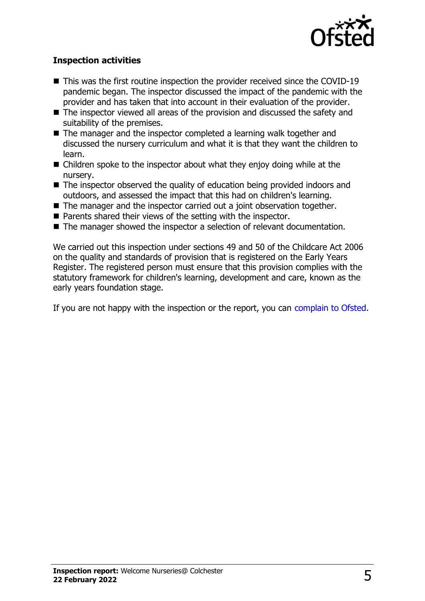

#### **Inspection activities**

- $\blacksquare$  This was the first routine inspection the provider received since the COVID-19 pandemic began. The inspector discussed the impact of the pandemic with the provider and has taken that into account in their evaluation of the provider.
- $\blacksquare$  The inspector viewed all areas of the provision and discussed the safety and suitability of the premises.
- $\blacksquare$  The manager and the inspector completed a learning walk together and discussed the nursery curriculum and what it is that they want the children to learn.
- $\blacksquare$  Children spoke to the inspector about what they enjoy doing while at the nursery.
- $\blacksquare$  The inspector observed the quality of education being provided indoors and outdoors, and assessed the impact that this had on children's learning.
- $\blacksquare$  The manager and the inspector carried out a joint observation together.
- $\blacksquare$  Parents shared their views of the setting with the inspector.
- The manager showed the inspector a selection of relevant documentation.

We carried out this inspection under sections 49 and 50 of the Childcare Act 2006 on the quality and standards of provision that is registered on the Early Years Register. The registered person must ensure that this provision complies with the statutory framework for children's learning, development and care, known as the early years foundation stage.

If you are not happy with the inspection or the report, you can [complain to Ofsted](http://www.gov.uk/complain-ofsted-report).